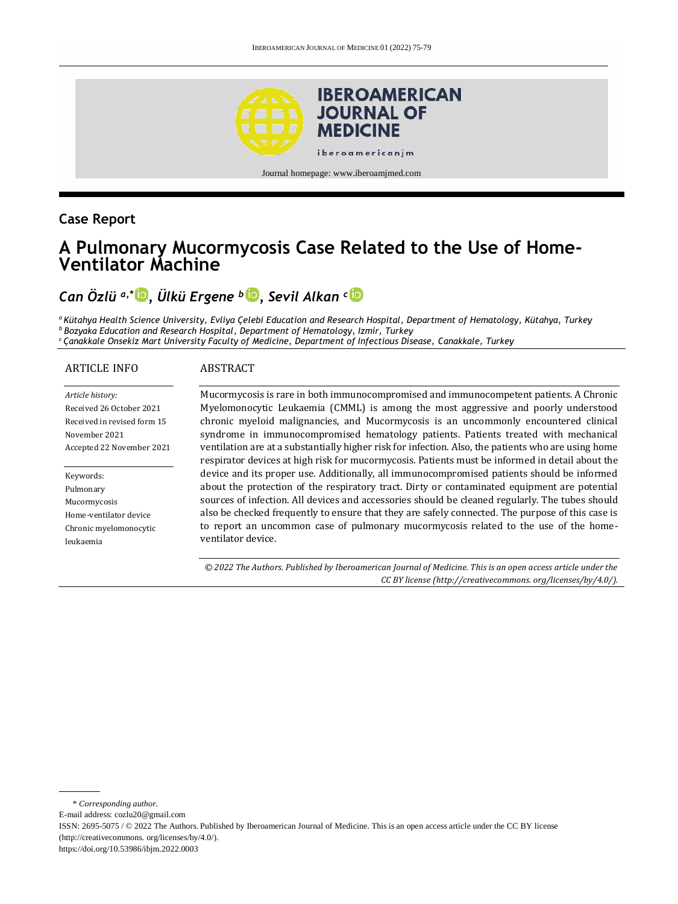

Journal homepage[: www.iberoamjmed.com](file:///C:/Users/EDUARDO/Desktop/REVISTA/Iberoamerican%20Journal%20of%20Medicine/Issues/Formato%20artículos/Bilingüe/www.iberoamjmed.com)

## **Case Report**

# **A Pulmonary Mucormycosis Case Related to the Use of Home-Ventilator Machine**

# *Can Özlü a,\* , Ülkü Ergene <sup>b</sup> [,](http://orcid.org/0000-0001-6517-3621) Sevil Alkan <sup>c</sup>*

*<sup>a</sup>Kütahya Health Science University, Evliya Çelebi Education and Research Hospital, Department of Hematology, Kütahya, Turkey <sup>b</sup>Bozyaka Education and Research Hospital, Department of Hematology, Izmir, Turkey <sup>c</sup>Çanakkale Onsekiz Mart University Faculty of Medicine, Department of Infectious Disease, Canakkale, Turkey*

#### ARTICLE INFO

#### ABSTRACT

| Article history:            |
|-----------------------------|
| Received 26 October 2021    |
| Received in revised form 15 |
| November 2021               |
| Accepted 22 November 2021   |

Keywords: Pulmonary Mucormycosis Home-ventilator device Chronic myelomonocytic leukaemia

Mucormycosis is rare in both immunocompromised and immunocompetent patients. A Chronic Myelomonocytic Leukaemia (CMML) is among the most aggressive and poorly understood chronic myeloid malignancies, and Mucormycosis is an uncommonly encountered clinical syndrome in immunocompromised hematology patients. Patients treated with mechanical ventilation are at a substantially higher risk for infection. Also, the patients who are using home respirator devices at high risk for mucormycosis. Patients must be informed in detail about the device and its proper use. Additionally, all immunocompromised patients should be informed about the protection of the respiratory tract. Dirty or contaminated equipment are potential sources of infection. All devices and accessories should be cleaned regularly. The tubes should also be checked frequently to ensure that they are safely connected. The purpose of this case is to report an uncommon case of pulmonary mucormycosis related to the use of the homeventilator device.

*© 2022 The Authors. Published by Iberoamerican Journal of Medicine. This is an open access article under the CC BY license (http:/[/creativecommons. org/licenses/by/4.0/\)](https://creativecommons.org/licenses/by/4.0/).*

<sup>\*</sup> *Corresponding author.*

E-mail address[: cozlu20@gmail.com](mailto:cozlu20@gmail.com)

ISSN: 2695-5075 / © 2022 The Authors. Published by Iberoamerican Journal of Medicine. This is an open access article under the CC BY license (http:/[/creativecommons. org/licenses/by/4.0/\)](https://creativecommons.org/licenses/by/4.0/).

<https://doi.org/10.53986/ibjm.2022.0003>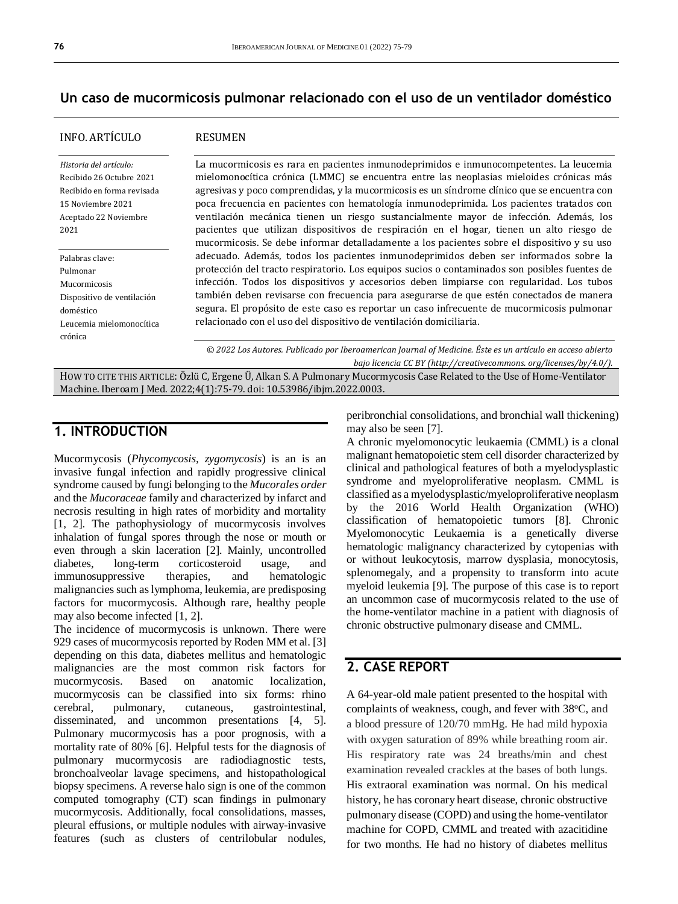### **Un caso de mucormicosis pulmonar relacionado con el uso de un ventilador doméstico**

### INFO. ARTÍCULO

#### RESUMEN

| Historia del artículo:     |
|----------------------------|
| Recibido 26 Octubre 2021   |
| Recibido en forma revisada |
| 15 Noviembre 2021          |
| Aceptado 22 Noviembre      |
| 2021                       |
|                            |

Palabras clave: Pulmonar Mucormicosis Dispositivo de ventilación doméstico Leucemia mielomonocítica crónica

La mucormicosis es rara en pacientes inmunodeprimidos e inmunocompetentes. La leucemia mielomonocítica crónica (LMMC) se encuentra entre las neoplasias mieloides crónicas más agresivas y poco comprendidas, y la mucormicosis es un síndrome clínico que se encuentra con poca frecuencia en pacientes con hematología inmunodeprimida. Los pacientes tratados con ventilación mecánica tienen un riesgo sustancialmente mayor de infección. Además, los pacientes que utilizan dispositivos de respiración en el hogar, tienen un alto riesgo de mucormicosis. Se debe informar detalladamente a los pacientes sobre el dispositivo y su uso adecuado. Además, todos los pacientes inmunodeprimidos deben ser informados sobre la protección del tracto respiratorio. Los equipos sucios o contaminados son posibles fuentes de infección. Todos los dispositivos y accesorios deben limpiarse con regularidad. Los tubos también deben revisarse con frecuencia para asegurarse de que estén conectados de manera segura. El propósito de este caso es reportar un caso infrecuente de mucormicosis pulmonar relacionado con el uso del dispositivo de ventilación domiciliaria.

*© 2022 Los Autores. Publicado por Iberoamerican Journal of Medicine. Éste es un artículo en acceso abierto bajo licencia CC BY (http:/[/creativecommons. org/licenses/by/4.0/\)](https://creativecommons.org/licenses/by/4.0/).*

HOW TO CITE THIS ARTICLE: Özlü C, Ergene Ü, Alkan S. A Pulmonary Mucormycosis Case Related to the Use of Home-Ventilator Machine. Iberoam J Med. 2022;4(1):75-79. doi[: 10.53986/ibjm.2022.0003.](https://doi.org/10.53986/ibjm.2022.0003)

## **1. INTRODUCTION**

Mucormycosis (*Phycomycosis, zygomycosis*) is an is an invasive fungal infection and rapidly progressive clinical syndrome caused by fungi belonging to the *Mucorales order* and the *Mucoraceae* family and characterized by infarct and necrosis resulting in high rates of morbidity and mortality [1, 2]. The pathophysiology of mucormycosis involves inhalation of fungal spores through the nose or mouth or even through a skin laceration [2]. Mainly, uncontrolled diabetes, long-term corticosteroid usage, and immunosuppressive therapies, and hematologic malignancies such as lymphoma, leukemia, are predisposing factors for mucormycosis. Although rare, healthy people may also become infected [1, 2].

The incidence of mucormycosis is unknown. There were 929 cases of mucormycosis reported by Roden MM et al. [3] depending on this data, diabetes mellitus and hematologic malignancies are the most common risk factors for mucormycosis. Based on anatomic localization, mucormycosis can be classified into six forms: rhino cerebral, pulmonary, cutaneous, gastrointestinal, disseminated, and uncommon presentations [4, 5]. Pulmonary mucormycosis has a poor prognosis, with a mortality rate of 80% [6]. Helpful tests for the diagnosis of pulmonary mucormycosis are radiodiagnostic tests, bronchoalveolar lavage specimens, and histopathological biopsy specimens. A reverse halo sign is one of the common computed tomography (CT) scan findings in pulmonary mucormycosis. Additionally, focal consolidations, masses, pleural effusions, or multiple nodules with airway-invasive features (such as clusters of centrilobular nodules,

peribronchial consolidations, and bronchial wall thickening) may also be seen [7].

A chronic myelomonocytic leukaemia (CMML) is a clonal malignant hematopoietic stem cell disorder characterized by clinical and pathological features of both a myelodysplastic syndrome and myeloproliferative neoplasm. CMML is classified as a myelodysplastic/myeloproliferative neoplasm by the 2016 World Health Organization (WHO) classification of hematopoietic tumors [8]. Chronic Myelomonocytic Leukaemia is a genetically diverse hematologic malignancy characterized by cytopenias with or without leukocytosis, marrow dysplasia, monocytosis, splenomegaly, and a propensity to transform into acute myeloid leukemia [9]. The purpose of this case is to report an uncommon case of mucormycosis related to the use of the home-ventilator machine in a patient with diagnosis of chronic obstructive pulmonary disease and CMML.

## **2. CASE REPORT**

A 64-year-old male patient presented to the hospital with complaints of weakness, cough, and fever with 38°C, and a blood pressure of 120/70 mmHg. He had mild hypoxia with oxygen saturation of 89% while breathing room air. His respiratory rate was 24 breaths/min and chest examination revealed crackles at the bases of both lungs. His extraoral examination was normal. On his medical history, he has coronary heart disease, chronic obstructive pulmonary disease (COPD) and using the home-ventilator machine for COPD, CMML and treated with azacitidine for two months. He had no history of diabetes mellitus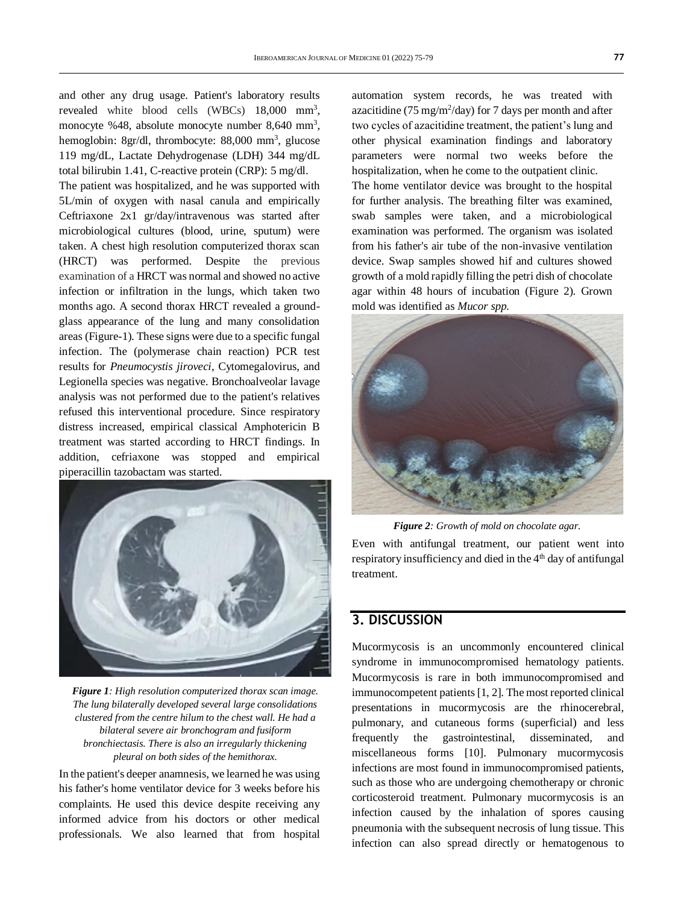and other any drug usage. Patient's laboratory results revealed white blood cells (WBCs) 18,000 mm<sup>3</sup>, monocyte %48, absolute monocyte number  $8,640$  mm<sup>3</sup>, hemoglobin: 8gr/dl, thrombocyte: 88,000 mm<sup>3</sup>, glucose 119 mg/dL, Lactate Dehydrogenase (LDH) 344 mg/dL total bilirubin 1.41, C-reactive protein (CRP): 5 mg/dl.

The patient was hospitalized, and he was supported with 5L/min of oxygen with nasal canula and empirically Ceftriaxone 2x1 gr/day/intravenous was started after microbiological cultures (blood, urine, sputum) were taken. A chest high resolution computerized thorax scan (HRCT) was performed. Despite the previous examination of a HRCT was normal and showed no active infection or infiltration in the lungs, which taken two months ago. A second thorax HRCT revealed a groundglass appearance of the lung and many consolidation areas (Figure-1). These signs were due to a specific fungal infection. The (polymerase chain reaction) PCR test results for *Pneumocystis jiroveci*, Cytomegalovirus, and Legionella species was negative. Bronchoalveolar lavage analysis was not performed due to the patient's relatives refused this interventional procedure. Since respiratory distress increased, empirical classical Amphotericin B treatment was started according to HRCT findings. In addition, cefriaxone was stopped and empirical piperacillin tazobactam was started.



*Figure 1: High resolution computerized thorax scan image. The lung bilaterally developed several large consolidations clustered from the centre hilum to the chest wall. He had a bilateral severe air bronchogram and fusiform bronchiectasis. There is also an irregularly thickening pleural on both sides of the hemithorax.*

In the patient's deeper anamnesis, we learned he was using his father's home ventilator device for 3 weeks before his complaints. He used this device despite receiving any informed advice from his doctors or other medical professionals. We also learned that from hospital

automation system records, he was treated with azacitidine ( $75 \text{ mg/m}^2$ /day) for 7 days per month and after two cycles of azacitidine treatment, the patient's lung and other physical examination findings and laboratory parameters were normal two weeks before the hospitalization, when he come to the outpatient clinic.

The home ventilator device was brought to the hospital for further analysis. The breathing filter was examined, swab samples were taken, and a microbiological examination was performed. The organism was isolated from his father's air tube of the non-invasive ventilation device. Swap samples showed hif and cultures showed growth of a mold rapidly filling the petri dish of chocolate agar within 48 hours of incubation (Figure 2). Grown mold was identified as *Mucor spp.*



*Figure 2: Growth of mold on chocolate agar.*

Even with antifungal treatment, our patient went into respiratory insufficiency and died in the  $4<sup>th</sup>$  day of antifungal treatment.

## **3. DISCUSSION**

Mucormycosis is an uncommonly encountered clinical syndrome in immunocompromised hematology patients. Mucormycosis is rare in both immunocompromised and immunocompetent patients [1, 2]. The most reported clinical presentations in mucormycosis are the rhinocerebral, pulmonary, and cutaneous forms (superficial) and less frequently the gastrointestinal, disseminated, and miscellaneous forms [10]. Pulmonary mucormycosis infections are most found in immunocompromised patients, such as those who are undergoing chemotherapy or chronic corticosteroid treatment. Pulmonary mucormycosis is an infection caused by the inhalation of spores causing pneumonia with the subsequent necrosis of lung tissue. This infection can also spread directly or hematogenous to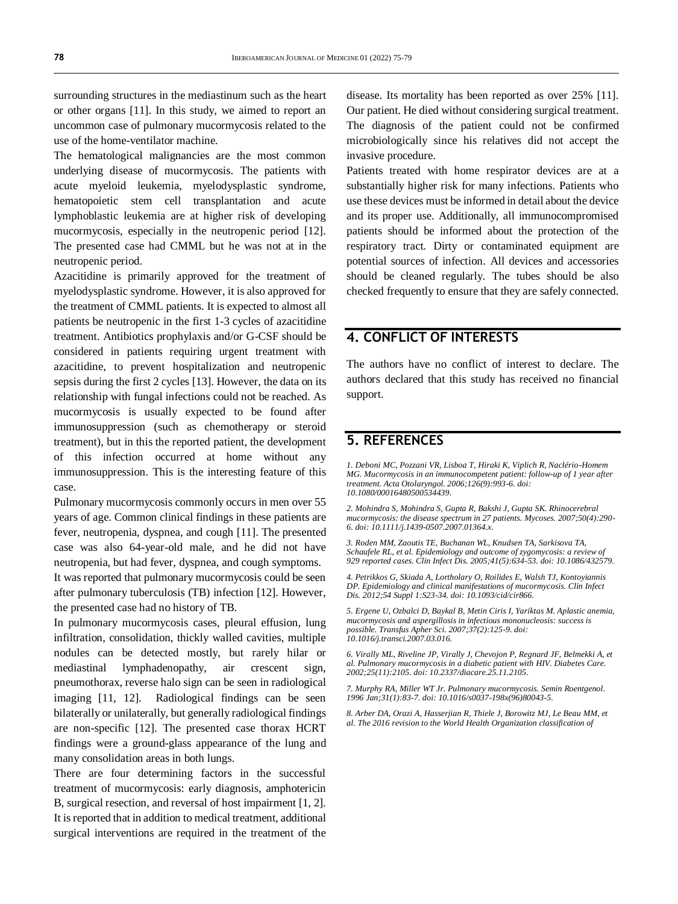surrounding structures in the mediastinum such as the heart or other organs [11]. In this study, we aimed to report an uncommon case of pulmonary mucormycosis related to the use of the home-ventilator machine.

The hematological malignancies are the most common underlying disease of mucormycosis. The patients with acute myeloid leukemia, myelodysplastic syndrome, hematopoietic stem cell transplantation and acute lymphoblastic leukemia are at higher risk of developing mucormycosis, especially in the neutropenic period [12]. The presented case had CMML but he was not at in the neutropenic period.

Azacitidine is primarily approved for the treatment of myelodysplastic syndrome. However, it is also approved for the treatment of CMML patients. It is expected to almost all patients be neutropenic in the first 1-3 cycles of azacitidine treatment. Antibiotics prophylaxis and/or G-CSF should be considered in patients requiring urgent treatment with azacitidine, to prevent hospitalization and neutropenic sepsis during the first 2 cycles [13]. However, the data on its relationship with fungal infections could not be reached. As mucormycosis is usually expected to be found after immunosuppression (such as chemotherapy or steroid treatment), but in this the reported patient, the development of this infection occurred at home without any immunosuppression. This is the interesting feature of this case.

Pulmonary mucormycosis commonly occurs in men over 55 years of age. Common clinical findings in these patients are fever, neutropenia, dyspnea, and cough [11]. The presented case was also 64-year-old male, and he did not have neutropenia, but had fever, dyspnea, and cough symptoms. It was reported that pulmonary mucormycosis could be seen after pulmonary tuberculosis (TB) infection [12]. However, the presented case had no history of TB.

In pulmonary mucormycosis cases, pleural effusion, lung infiltration, consolidation, thickly walled cavities, multiple nodules can be detected mostly, but rarely hilar or mediastinal lymphadenopathy, air crescent sign, pneumothorax, reverse halo sign can be seen in radiological imaging [11, 12]. Radiological findings can be seen bilaterally or unilaterally, but generally radiological findings are non-specific [12]. The presented case thorax HCRT findings were a ground-glass appearance of the lung and many consolidation areas in both lungs.

There are four determining factors in the successful treatment of mucormycosis: early diagnosis, amphotericin B, surgical resection, and reversal of host impairment [1, 2]. It is reported that in addition to medical treatment, additional surgical interventions are required in the treatment of the disease. Its mortality has been reported as over 25% [11]. Our patient. He died without considering surgical treatment. The diagnosis of the patient could not be confirmed microbiologically since his relatives did not accept the invasive procedure.

Patients treated with home respirator devices are at a substantially higher risk for many infections. Patients who use these devices must be informed in detail about the device and its proper use. Additionally, all immunocompromised patients should be informed about the protection of the respiratory tract. Dirty or contaminated equipment are potential sources of infection. All devices and accessories should be cleaned regularly. The tubes should be also checked frequently to ensure that they are safely connected.

## **4. CONFLICT OF INTERESTS**

The authors have no conflict of interest to declare. The authors declared that this study has received no financial support.

## **5. REFERENCES**

*1. Deboni MC, Pozzani VR, Lisboa T, Hiraki K, Viplich R, Naclério-Homem MG. Mucormycosis in an immunocompetent patient: follow-up of 1 year after treatment. Acta Otolaryngol. 2006;126(9):993-6. doi: [10.1080/00016480500534439.](https://doi.org/10.1080/00016480500534439)*

*2. Mohindra S, Mohindra S, Gupta R, Bakshi J, Gupta SK. Rhinocerebral mucormycosis: the disease spectrum in 27 patients. Mycoses. 2007;50(4):290- 6. doi[: 10.1111/j.1439-0507.2007.01364.x.](https://doi.org/10.1111/j.1439-0507.2007.01364.x)*

*3. Roden MM, Zaoutis TE, Buchanan WL, Knudsen TA, Sarkisova TA, Schaufele RL, et al. Epidemiology and outcome of zygomycosis: a review of 929 reported cases. Clin Infect Dis. 2005;41(5):634-53. doi[: 10.1086/432579.](https://doi.org/10.1086/432579)*

*4. Petrikkos G, Skiada A, Lortholary O, Roilides E, Walsh TJ, Kontoyiannis DP. Epidemiology and clinical manifestations of mucormycosis. Clin Infect Dis. 2012;54 Suppl 1:S23-34. doi[: 10.1093/cid/cir866.](https://doi.org/10.1093/cid/cir866)*

*5. Ergene U, Ozbalci D, Baykal B, Metin Ciris I, Yariktas M. Aplastic anemia, mucormycosis and aspergillosis in infectious mononucleosis: success is possible. Transfus Apher Sci. 2007;37(2):125-9. doi: [10.1016/j.transci.2007.03.016.](https://doi.org/10.1016/j.transci.2007.03.016)*

*6. Virally ML, Riveline JP, Virally J, Chevojon P, Regnard JF, Belmekki A, et al. Pulmonary mucormycosis in a diabetic patient with HIV. Diabetes Care. 2002;25(11):2105. doi[: 10.2337/diacare.25.11.2105.](https://doi.org/10.2337/diacare.25.11.2105)*

*7. Murphy RA, Miller WT Jr. Pulmonary mucormycosis. Semin Roentgenol. 1996 Jan;31(1):83-7. doi[: 10.1016/s0037-198x\(96\)80043-5.](https://doi.org/10.1016/s0037-198x(96)80043-5)*

*8. Arber DA, Orazi A, Hasserjian R, Thiele J, Borowitz MJ, Le Beau MM, et al. The 2016 revision to the World Health Organization classification of*